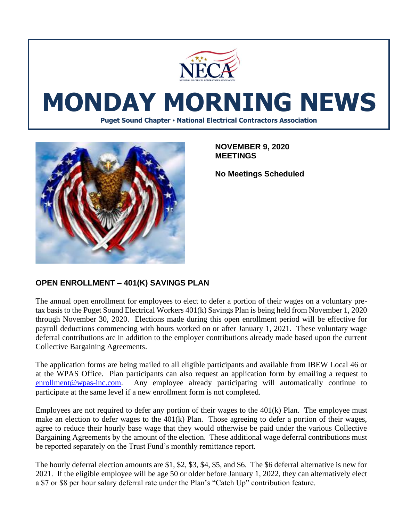

# **MONDAY MORNING NEWS**

**Puget Sound Chapter • National Electrical Contractors Association**



**NOVEMBER 9, 2020 MEETINGS**

**No Meetings Scheduled**

## **OPEN ENROLLMENT – 401(K) SAVINGS PLAN**

The annual open enrollment for employees to elect to defer a portion of their wages on a voluntary pretax basis to the Puget Sound Electrical Workers 401(k) Savings Plan is being held from November 1, 2020 through November 30, 2020. Elections made during this open enrollment period will be effective for payroll deductions commencing with hours worked on or after January 1, 2021. These voluntary wage deferral contributions are in addition to the employer contributions already made based upon the current Collective Bargaining Agreements.

The application forms are being mailed to all eligible participants and available from IBEW Local 46 or at the WPAS Office. Plan participants can also request an application form by emailing a request to [enrollment@wpas-inc.com.](mailto:enrollment@wpas-inc.com) Any employee already participating will automatically continue to participate at the same level if a new enrollment form is not completed.

Employees are not required to defer any portion of their wages to the 401(k) Plan. The employee must make an election to defer wages to the 401(k) Plan. Those agreeing to defer a portion of their wages, agree to reduce their hourly base wage that they would otherwise be paid under the various Collective Bargaining Agreements by the amount of the election. These additional wage deferral contributions must be reported separately on the Trust Fund's monthly remittance report.

The hourly deferral election amounts are \$1, \$2, \$3, \$4, \$5, and \$6. The \$6 deferral alternative is new for 2021. If the eligible employee will be age 50 or older before January 1, 2022, they can alternatively elect a \$7 or \$8 per hour salary deferral rate under the Plan's "Catch Up" contribution feature.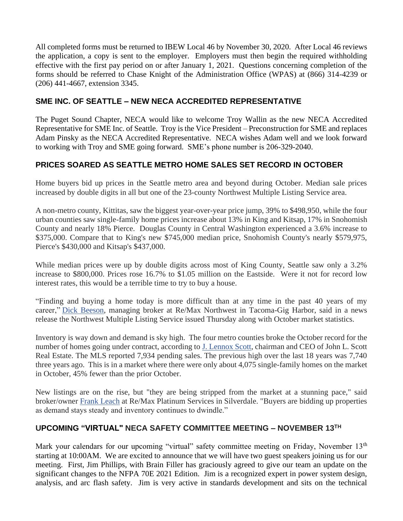All completed forms must be returned to IBEW Local 46 by November 30, 2020. After Local 46 reviews the application, a copy is sent to the employer. Employers must then begin the required withholding effective with the first pay period on or after January 1, 2021. Questions concerning completion of the forms should be referred to Chase Knight of the Administration Office (WPAS) at (866) 314-4239 or (206) 441-4667, extension 3345.

### **SME INC. OF SEATTLE – NEW NECA ACCREDITED REPRESENTATIVE**

The Puget Sound Chapter, NECA would like to welcome Troy Wallin as the new NECA Accredited Representative for SME Inc. of Seattle. Troy is the Vice President – Preconstruction for SME and replaces Adam Pinsky as the NECA Accredited Representative. NECA wishes Adam well and we look forward to working with Troy and SME going forward. SME's phone number is 206-329-2040.

## **PRICES SOARED AS SEATTLE METRO HOME SALES SET RECORD IN OCTOBER**

Home buyers bid up prices in the Seattle metro area and beyond during October. Median sale prices increased by double digits in all but one of the 23-county Northwest Multiple Listing Service area.

A non-metro county, Kittitas, saw the biggest year-over-year price jump, 39% to \$498,950, while the four urban counties saw single-family home prices increase about 13% in King and Kitsap, 17% in Snohomish County and nearly 18% Pierce. Douglas County in Central Washington experienced a 3.6% increase to \$375,000. Compare that to King's new \$745,000 median price, Snohomish County's nearly \$579,975, Pierce's \$430,000 and Kitsap's \$437,000.

While median prices were up by double digits across most of King County, Seattle saw only a 3.2% increase to \$800,000. Prices rose 16.7% to \$1.05 million on the Eastside. Were it not for record low interest rates, this would be a terrible time to try to buy a house.

"Finding and buying a home today is more difficult than at any time in the past 40 years of my career," [Dick Beeson,](https://www.bizjournals.com/seattle/search/results?q=Dick%20Beeson) managing broker at Re/Max Northwest in Tacoma-Gig Harbor, said in a news release the Northwest Multiple Listing Service issued Thursday along with October market statistics.

Inventory is way down and demand is sky high. The four metro counties broke the October record for the number of homes going under contract, according to [J. Lennox Scott,](https://www.bizjournals.com/seattle/search/results?q=J.%20Lennox%20Scott) chairman and CEO of John L. Scott Real Estate. The MLS reported 7,934 pending sales. The previous high over the last 18 years was 7,740 three years ago. This is in a market where there were only about 4,075 single-family homes on the market in October, 45% fewer than the prior October.

New listings are on the rise, but "they are being stripped from the market at a stunning pace," said broker/owner [Frank Leach](https://www.bizjournals.com/seattle/search/results?q=Frank%20Leach) at Re/Max Platinum Services in Silverdale. "Buyers are bidding up properties as demand stays steady and inventory continues to dwindle."

#### **UPCOMING "VIRTUAL" NECA SAFETY COMMITTEE MEETING – NOVEMBER 13 TH**

Mark your calendars for our upcoming "virtual" safety committee meeting on Friday, November 13<sup>th</sup> starting at 10:00AM. We are excited to announce that we will have two guest speakers joining us for our meeting. First, Jim Phillips, with Brain Filler has graciously agreed to give our team an update on the significant changes to the NFPA 70E 2021 Edition. Jim is a recognized expert in power system design, analysis, and arc flash safety. Jim is very active in standards development and sits on the technical